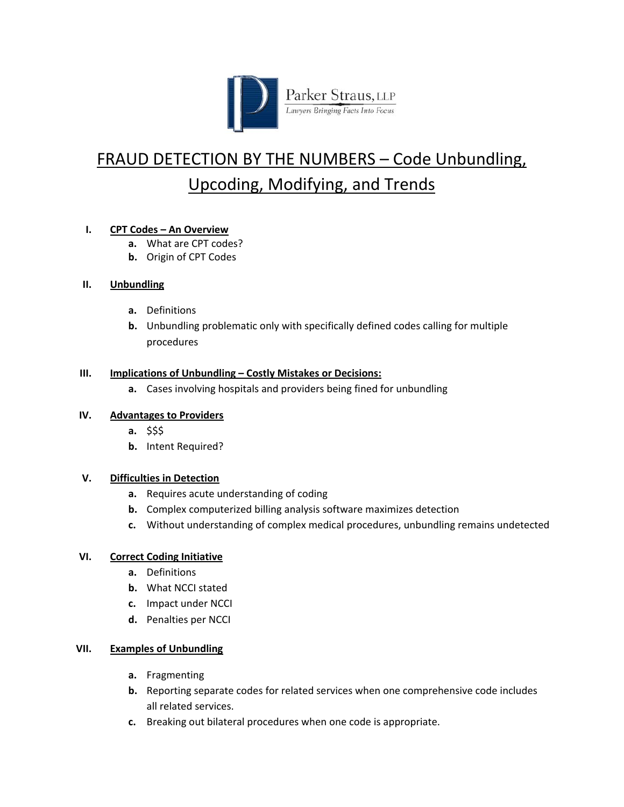

# FRAUD DETECTION BY THE NUMBERS – Code Unbundling, Upcoding, Modifying, and Trends

# **I. CPT Codes – An Overview**

- **a.** What are CPT codes?
- **b.** Origin of CPT Codes

## **II. Unbundling**

- **a.** Definitions
- **b.** Unbundling problematic only with specifically defined codes calling for multiple procedures

#### **III. Implications of Unbundling – Costly Mistakes or Decisions:**

**a.** Cases involving hospitals and providers being fined for unbundling

## **IV. Advantages to Providers**

- **a.** \$\$\$
- **b.** Intent Required?

## **V. Difficulties in Detection**

- **a.** Requires acute understanding of coding
- **b.** Complex computerized billing analysis software maximizes detection
- **c.** Without understanding of complex medical procedures, unbundling remains undetected

## **VI. Correct Coding Initiative**

- **a.** Definitions
- **b.** What NCCI stated
- **c.** Impact under NCCI
- **d.** Penalties per NCCI

## **VII. Examples of Unbundling**

- **a.** Fragmenting
- **b.** Reporting separate codes for related services when one comprehensive code includes all related services.
- **c.** Breaking out bilateral procedures when one code is appropriate.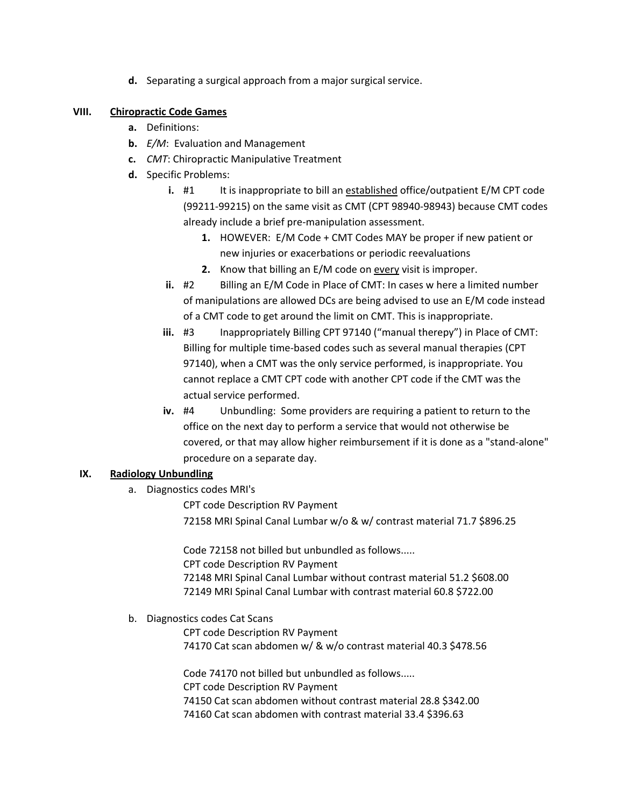**d.** Separating a surgical approach from a major surgical service.

#### **VIII. Chiropractic Code Games**

- **a.** Definitions:
- **b.** *E/M*: Evaluation and Management
- **c.** *CMT*: Chiropractic Manipulative Treatment
- **d.** Specific Problems:
	- **i.** #1 It is inappropriate to bill an established office/outpatient E/M CPT code (99211‐99215) on the same visit as CMT (CPT 98940‐98943) because CMT codes already include a brief pre‐manipulation assessment.
		- **1.** HOWEVER: E/M Code + CMT Codes MAY be proper if new patient or new injuries or exacerbations or periodic reevaluations
		- **2.** Know that billing an E/M code on every visit is improper.
	- **ii.** #2 Billing an E/M Code in Place of CMT: In cases w here a limited number of manipulations are allowed DCs are being advised to use an E/M code instead of a CMT code to get around the limit on CMT. This is inappropriate.
	- **iii.** #3 Inappropriately Billing CPT 97140 ("manual therepy") in Place of CMT: Billing for multiple time‐based codes such as several manual therapies (CPT 97140), when a CMT was the only service performed, is inappropriate. You cannot replace a CMT CPT code with another CPT code if the CMT was the actual service performed.
	- **iv.** #4 Unbundling: Some providers are requiring a patient to return to the office on the next day to perform a service that would not otherwise be covered, or that may allow higher reimbursement if it is done as a "stand‐alone" procedure on a separate day.

#### **IX. Radiology Unbundling**

a. Diagnostics codes MRI's

CPT code Description RV Payment 72158 MRI Spinal Canal Lumbar w/o & w/ contrast material 71.7 \$896.25

Code 72158 not billed but unbundled as follows..... CPT code Description RV Payment 72148 MRI Spinal Canal Lumbar without contrast material 51.2 \$608.00 72149 MRI Spinal Canal Lumbar with contrast material 60.8 \$722.00

## b. Diagnostics codes Cat Scans

CPT code Description RV Payment 74170 Cat scan abdomen w/ & w/o contrast material 40.3 \$478.56

Code 74170 not billed but unbundled as follows..... CPT code Description RV Payment 74150 Cat scan abdomen without contrast material 28.8 \$342.00 74160 Cat scan abdomen with contrast material 33.4 \$396.63